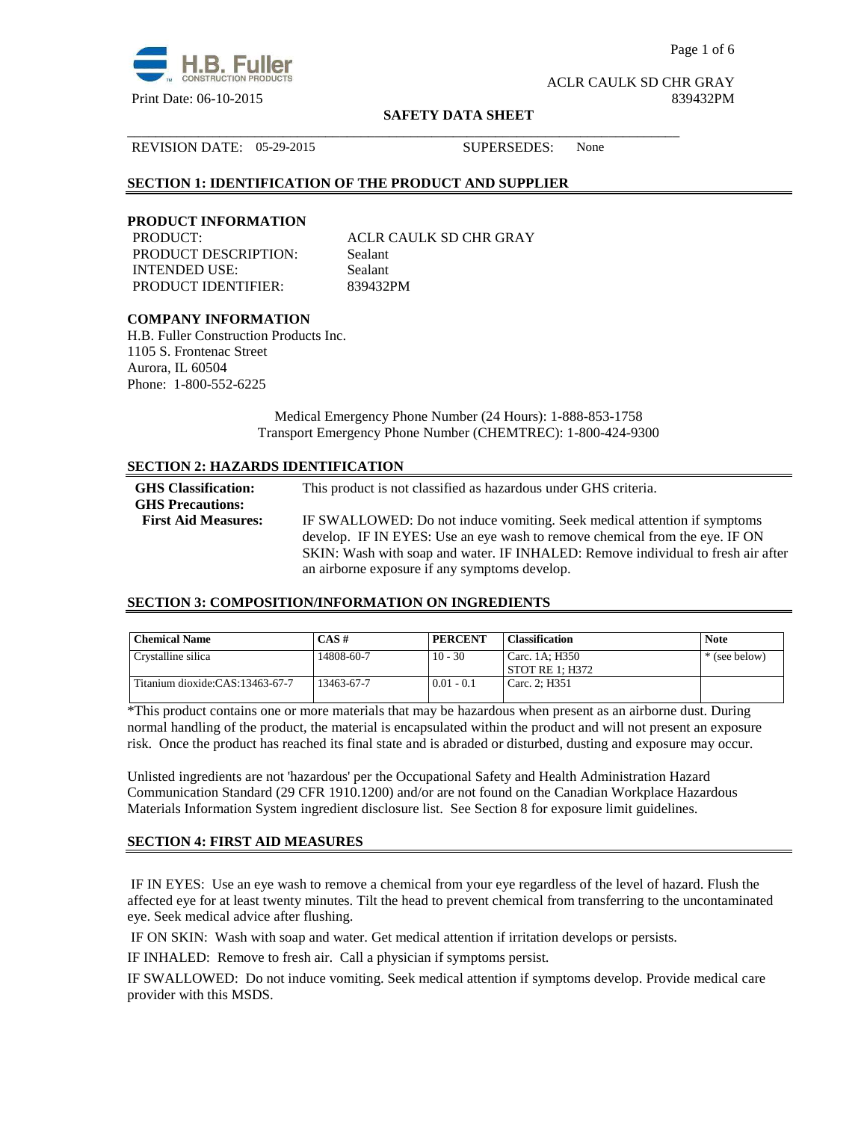

Page 1 of 6

ACLR CAULK SD CHR GRAY Print Date: 06-10-2015 839432PM

#### **SAFETY DATA SHEET**

\_\_\_\_\_\_\_\_\_\_\_\_\_\_\_\_\_\_\_\_\_\_\_\_\_\_\_\_\_\_\_\_\_\_\_\_\_\_\_\_\_\_\_\_\_\_\_\_\_\_\_\_\_\_\_\_\_\_\_\_\_\_\_\_\_\_\_\_\_\_\_\_\_\_\_\_\_\_

REVISION DATE: 05-29-2015 SUPERSEDES: None

# **SECTION 1: IDENTIFICATION OF THE PRODUCT AND SUPPLIER**

## **PRODUCT INFORMATION**

PRODUCT DESCRIPTION: Sealant INTENDED USE: Sealant PRODUCT IDENTIFIER: 839432PM

PRODUCT: ACLR CAULK SD CHR GRAY

# **COMPANY INFORMATION**

H.B. Fuller Construction Products Inc. 1105 S. Frontenac Street Aurora, IL 60504 Phone: 1-800-552-6225

> Medical Emergency Phone Number (24 Hours): 1-888-853-1758 Transport Emergency Phone Number (CHEMTREC): 1-800-424-9300

# **SECTION 2: HAZARDS IDENTIFICATION**

| <b>GHS</b> Classification:<br><b>GHS Precautions:</b> | This product is not classified as hazardous under GHS criteria.                                                                                         |
|-------------------------------------------------------|---------------------------------------------------------------------------------------------------------------------------------------------------------|
| <b>First Aid Measures:</b>                            | IF SWALLOWED: Do not induce vomiting. Seek medical attention if symptoms<br>develop. IF IN EYES: Use an eye wash to remove chemical from the eye. IF ON |
|                                                       | SKIN: Wash with soap and water. IF INHALED: Remove individual to fresh air after<br>an airborne exposure if any symptoms develop.                       |

## **SECTION 3: COMPOSITION/INFORMATION ON INGREDIENTS**

| <b>Chemical Name</b>            | $CAS \#$   | <b>PERCENT</b> | <b>Classification</b>               | <b>Note</b>   |
|---------------------------------|------------|----------------|-------------------------------------|---------------|
| Crystalline silica              | 14808-60-7 | $10 - 30$      | Carc. 1A: H350<br>' STOT RE 1: H372 | * (see below) |
| Titanium dioxide:CAS:13463-67-7 | 13463-67-7 | $0.01 - 0.1$   | Carc. 2: H351                       |               |

\*This product contains one or more materials that may be hazardous when present as an airborne dust. During normal handling of the product, the material is encapsulated within the product and will not present an exposure risk. Once the product has reached its final state and is abraded or disturbed, dusting and exposure may occur.

Unlisted ingredients are not 'hazardous' per the Occupational Safety and Health Administration Hazard Communication Standard (29 CFR 1910.1200) and/or are not found on the Canadian Workplace Hazardous Materials Information System ingredient disclosure list. See Section 8 for exposure limit guidelines.

# **SECTION 4: FIRST AID MEASURES**

 IF IN EYES: Use an eye wash to remove a chemical from your eye regardless of the level of hazard. Flush the affected eye for at least twenty minutes. Tilt the head to prevent chemical from transferring to the uncontaminated eye. Seek medical advice after flushing.

IF ON SKIN: Wash with soap and water. Get medical attention if irritation develops or persists.

IF INHALED: Remove to fresh air. Call a physician if symptoms persist.

IF SWALLOWED:Do not induce vomiting. Seek medical attention if symptoms develop. Provide medical care provider with this MSDS.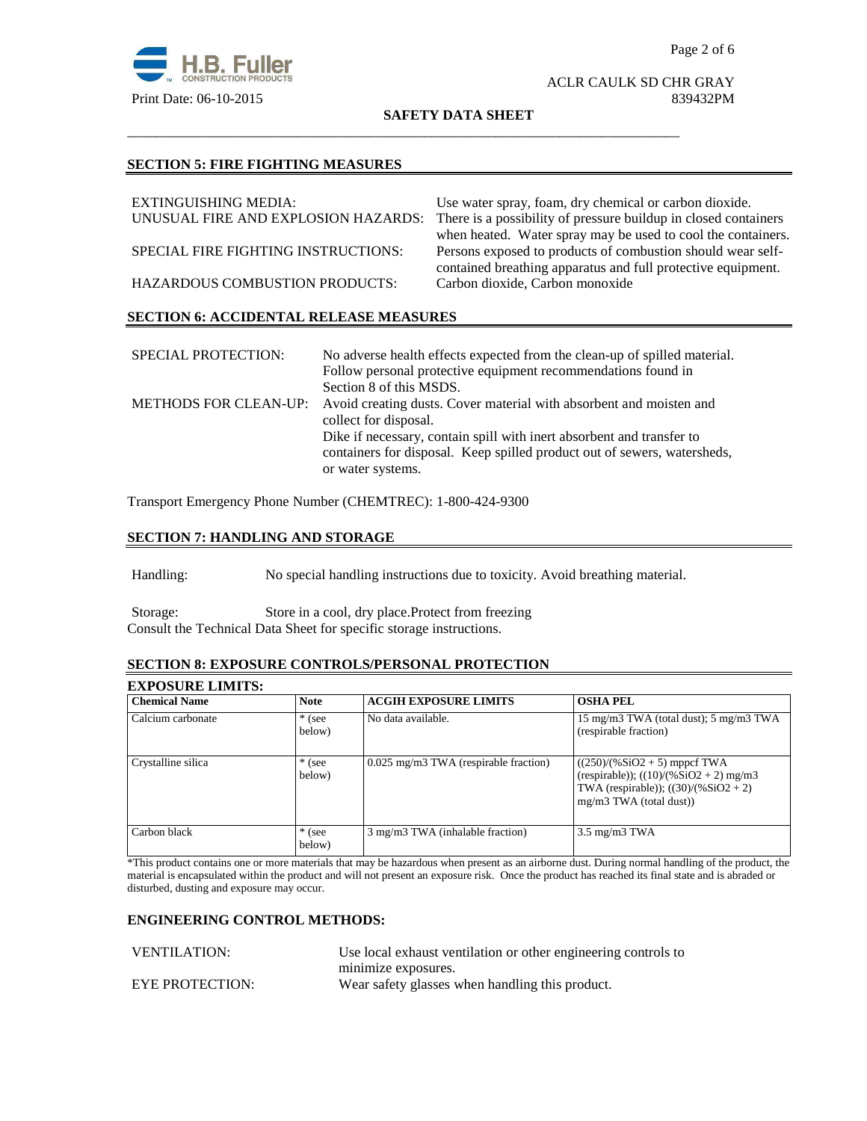

#### ACLR CAULK SD CHR GRAY Print Date: 06-10-2015 839432PM

**SAFETY DATA SHEET**

\_\_\_\_\_\_\_\_\_\_\_\_\_\_\_\_\_\_\_\_\_\_\_\_\_\_\_\_\_\_\_\_\_\_\_\_\_\_\_\_\_\_\_\_\_\_\_\_\_\_\_\_\_\_\_\_\_\_\_\_\_\_\_\_\_\_\_\_\_\_\_\_\_\_\_\_\_\_

#### **SECTION 5: FIRE FIGHTING MEASURES**

| EXTINGUISHING MEDIA:                          | Use water spray, foam, dry chemical or carbon dioxide.                                                                      |  |
|-----------------------------------------------|-----------------------------------------------------------------------------------------------------------------------------|--|
| UNUSUAL FIRE AND EXPLOSION HAZARDS:           | There is a possibility of pressure buildup in closed containers                                                             |  |
|                                               | when heated. Water spray may be used to cool the containers.                                                                |  |
| SPECIAL FIRE FIGHTING INSTRUCTIONS:           | Persons exposed to products of combustion should wear self-<br>contained breathing apparatus and full protective equipment. |  |
|                                               |                                                                                                                             |  |
| <b>HAZARDOUS COMBUSTION PRODUCTS:</b>         | Carbon dioxide, Carbon monoxide                                                                                             |  |
| <b>SECTION 6: ACCIDENTAL RELEASE MEASURES</b> |                                                                                                                             |  |

| <b>SPECIAL PROTECTION:</b>   | No adverse health effects expected from the clean-up of spilled material. |
|------------------------------|---------------------------------------------------------------------------|
|                              | Follow personal protective equipment recommendations found in             |
|                              | Section 8 of this MSDS.                                                   |
| <b>METHODS FOR CLEAN-UP:</b> | Avoid creating dusts. Cover material with absorbent and moisten and       |
|                              | collect for disposal.                                                     |
|                              | Dike if necessary, contain spill with inert absorbent and transfer to     |
|                              | containers for disposal. Keep spilled product out of sewers, watersheds,  |
|                              | or water systems.                                                         |

Transport Emergency Phone Number (CHEMTREC): 1-800-424-9300

# **SECTION 7: HANDLING AND STORAGE**

Handling: No special handling instructions due to toxicity. Avoid breathing material.

Storage: Store in a cool, dry place.Protect from freezing Consult the Technical Data Sheet for specific storage instructions.

# **SECTION 8: EXPOSURE CONTROLS/PERSONAL PROTECTION**

| <b>EXPOSURE LIMITS:</b> |                    |                                       |                                                                                                                                                    |
|-------------------------|--------------------|---------------------------------------|----------------------------------------------------------------------------------------------------------------------------------------------------|
| <b>Chemical Name</b>    | <b>Note</b>        | <b>ACGIH EXPOSURE LIMITS</b>          | <b>OSHA PEL</b>                                                                                                                                    |
| Calcium carbonate       | $*$ (see<br>below) | No data available.                    | 15 mg/m3 TWA (total dust); 5 mg/m3 TWA<br>(respirable fraction)                                                                                    |
| Crystalline silica      | $*$ (see<br>below) | 0.025 mg/m3 TWA (respirable fraction) | $((250)/(%SiO2 + 5)$ mppcf TWA<br>(respirable)); $((10)/(%SiO2 + 2)$ mg/m3<br>TWA (respirable)); $((30)/(%SiO2 + 2))$<br>$mg/m3$ TWA (total dust)) |
| Carbon black            | $*$ (see<br>below) | 3 mg/m3 TWA (inhalable fraction)      | $3.5 \text{ mg/m}$ $3 \text{ TWA}$                                                                                                                 |

\*This product contains one or more materials that may be hazardous when present as an airborne dust. During normal handling of the product, the material is encapsulated within the product and will not present an exposure risk. Once the product has reached its final state and is abraded or disturbed, dusting and exposure may occur.

# **ENGINEERING CONTROL METHODS:**

| <b>VENTILATION:</b>    | Use local exhaust ventilation or other engineering controls to |
|------------------------|----------------------------------------------------------------|
|                        | minimize exposures.                                            |
| <b>EYE PROTECTION:</b> | Wear safety glasses when handling this product.                |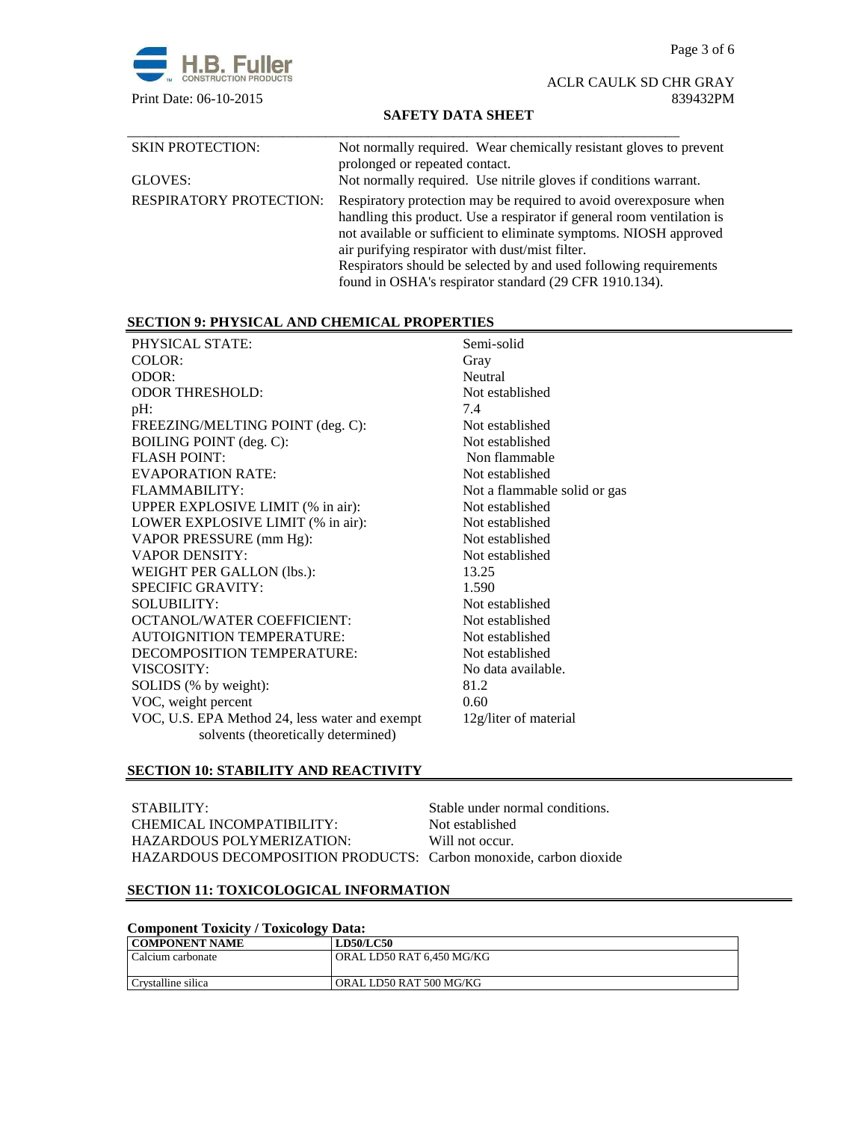

## ACLR CAULK SD CHR GRAY Print Date: 06-10-2015 839432PM

# **SAFETY DATA SHEET**

| <b>SKIN PROTECTION:</b>        | Not normally required. Wear chemically resistant gloves to prevent<br>prolonged or repeated contact.                                                                                                                                                                                                                                                                                               |
|--------------------------------|----------------------------------------------------------------------------------------------------------------------------------------------------------------------------------------------------------------------------------------------------------------------------------------------------------------------------------------------------------------------------------------------------|
| GLOVES:                        | Not normally required. Use nitrile gloves if conditions warrant.                                                                                                                                                                                                                                                                                                                                   |
| <b>RESPIRATORY PROTECTION:</b> | Respiratory protection may be required to avoid overexposure when<br>handling this product. Use a respirator if general room ventilation is<br>not available or sufficient to eliminate symptoms. NIOSH approved<br>air purifying respirator with dust/mist filter.<br>Respirators should be selected by and used following requirements<br>found in OSHA's respirator standard (29 CFR 1910.134). |

# **SECTION 9: PHYSICAL AND CHEMICAL PROPERTIES**

| PHYSICAL STATE:                                | Semi-solid                   |
|------------------------------------------------|------------------------------|
| COLOR:                                         | Gray                         |
| ODOR:                                          | Neutral                      |
| <b>ODOR THRESHOLD:</b>                         | Not established              |
| pH:                                            | 7.4                          |
| FREEZING/MELTING POINT (deg. C):               | Not established              |
| <b>BOILING POINT</b> (deg. C):                 | Not established              |
| <b>FLASH POINT:</b>                            | Non flammable                |
| <b>EVAPORATION RATE:</b>                       | Not established              |
| <b>FLAMMABILITY:</b>                           | Not a flammable solid or gas |
| UPPER EXPLOSIVE LIMIT (% in air):              | Not established              |
| LOWER EXPLOSIVE LIMIT (% in air):              | Not established              |
| VAPOR PRESSURE (mm Hg):                        | Not established              |
| <b>VAPOR DENSITY:</b>                          | Not established              |
| WEIGHT PER GALLON (lbs.):                      | 13.25                        |
| <b>SPECIFIC GRAVITY:</b>                       | 1.590                        |
| <b>SOLUBILITY:</b>                             | Not established              |
| <b>OCTANOL/WATER COEFFICIENT:</b>              | Not established              |
| <b>AUTOIGNITION TEMPERATURE:</b>               | Not established              |
| DECOMPOSITION TEMPERATURE:                     | Not established              |
| VISCOSITY:                                     | No data available.           |
| SOLIDS (% by weight):                          | 81.2                         |
| VOC, weight percent                            | 0.60                         |
| VOC, U.S. EPA Method 24, less water and exempt | 12g/liter of material        |
| solvents (theoretically determined)            |                              |
|                                                |                              |

# **SECTION 10: STABILITY AND REACTIVITY**

| STABILITY:                                                        | Stable under normal conditions. |
|-------------------------------------------------------------------|---------------------------------|
| CHEMICAL INCOMPATIBILITY:                                         | Not established                 |
| HAZARDOUS POLYMERIZATION:                                         | Will not occur.                 |
| HAZARDOUS DECOMPOSITION PRODUCTS: Carbon monoxide, carbon dioxide |                                 |

# **SECTION 11: TOXICOLOGICAL INFORMATION**

# **Component Toxicity / Toxicology Data:**

| <b>COMPONENT NAME</b> | <b>LD50/LC50</b>          |
|-----------------------|---------------------------|
| Calcium carbonate     | ORAL LD50 RAT 6.450 MG/KG |
|                       |                           |
| Crystalline silica    | ORAL LD50 RAT 500 MG/KG   |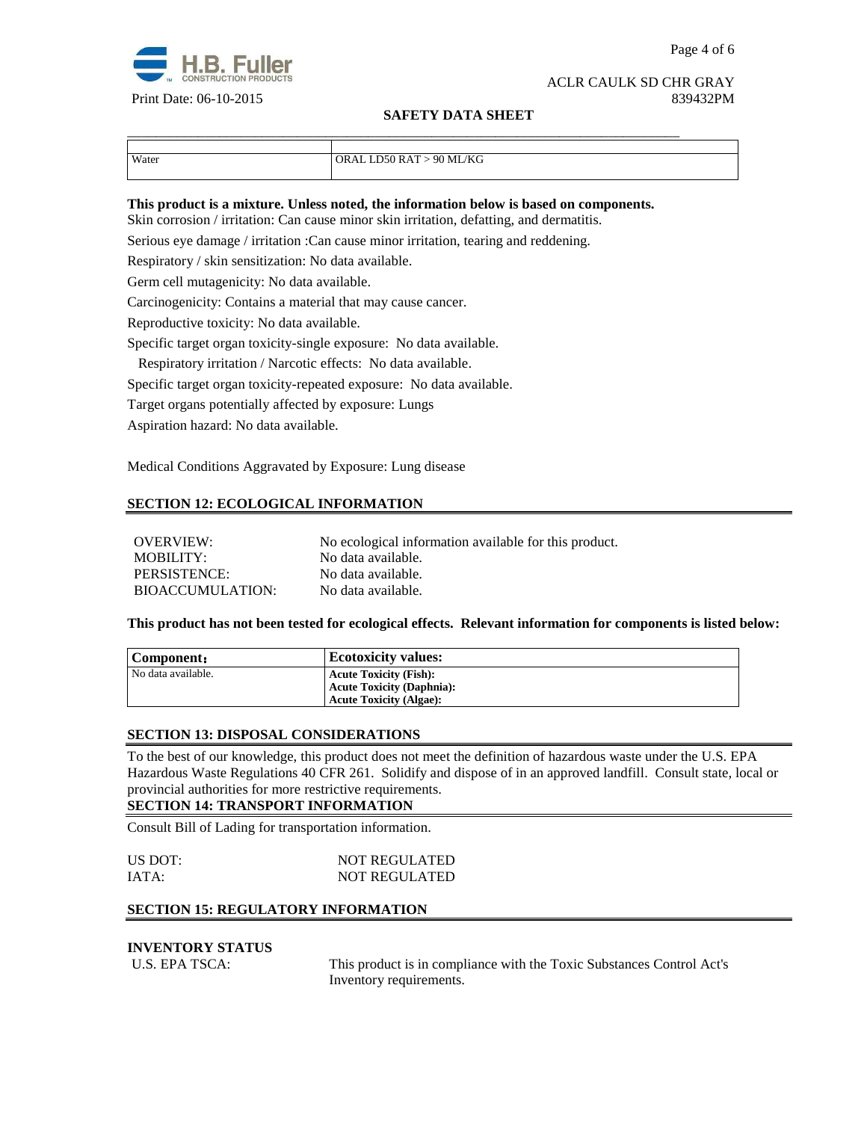

#### ACLR CAULK SD CHR GRAY Print Date: 06-10-2015 839432PM

## **SAFETY DATA SHEET**

| Water | ORAL LD50 RAT > 90 ML/KG |
|-------|--------------------------|
|       |                          |

#### **This product is a mixture. Unless noted, the information below is based on components.**

\_\_\_\_\_\_\_\_\_\_\_\_\_\_\_\_\_\_\_\_\_\_\_\_\_\_\_\_\_\_\_\_\_\_\_\_\_\_\_\_\_\_\_\_\_\_\_\_\_\_\_\_\_\_\_\_\_\_\_\_\_\_\_\_\_\_\_\_\_\_\_\_\_\_\_\_\_\_

Skin corrosion / irritation: Can cause minor skin irritation, defatting, and dermatitis.

Serious eye damage / irritation :Can cause minor irritation, tearing and reddening.

Respiratory / skin sensitization: No data available.

Germ cell mutagenicity: No data available.

Carcinogenicity: Contains a material that may cause cancer.

Reproductive toxicity: No data available.

Specific target organ toxicity-single exposure:No data available.

Respiratory irritation / Narcotic effects: No data available.

Specific target organ toxicity-repeated exposure:No data available.

Target organs potentially affected by exposure: Lungs

Aspiration hazard: No data available.

Medical Conditions Aggravated by Exposure: Lung disease

# **SECTION 12: ECOLOGICAL INFORMATION**

| OVERVIEW:               | No ecological information available for this product. |
|-------------------------|-------------------------------------------------------|
| MOBILITY:               | No data available.                                    |
| PERSISTENCE:            | No data available.                                    |
| <b>BIOACCUMULATION:</b> | No data available.                                    |

#### **This product has not been tested for ecological effects. Relevant information for components is listed below:**

| Component:         | <b>Ecotoxicity values:</b>       |
|--------------------|----------------------------------|
| No data available. | <b>Acute Toxicity (Fish):</b>    |
|                    | <b>Acute Toxicity (Daphnia):</b> |
|                    | <b>Acute Toxicity (Algae):</b>   |

#### **SECTION 13: DISPOSAL CONSIDERATIONS**

To the best of our knowledge, this product does not meet the definition of hazardous waste under the U.S. EPA Hazardous Waste Regulations 40 CFR 261. Solidify and dispose of in an approved landfill. Consult state, local or provincial authorities for more restrictive requirements.

#### **SECTION 14: TRANSPORT INFORMATION**

Consult Bill of Lading for transportation information.

| US DOT: | <b>NOT REGULATED</b> |  |  |
|---------|----------------------|--|--|
| IATA:   | <b>NOT REGULATED</b> |  |  |

# **SECTION 15: REGULATORY INFORMATION**

#### **INVENTORY STATUS**

U.S. EPA TSCA: This product is in compliance with the Toxic Substances Control Act's Inventory requirements.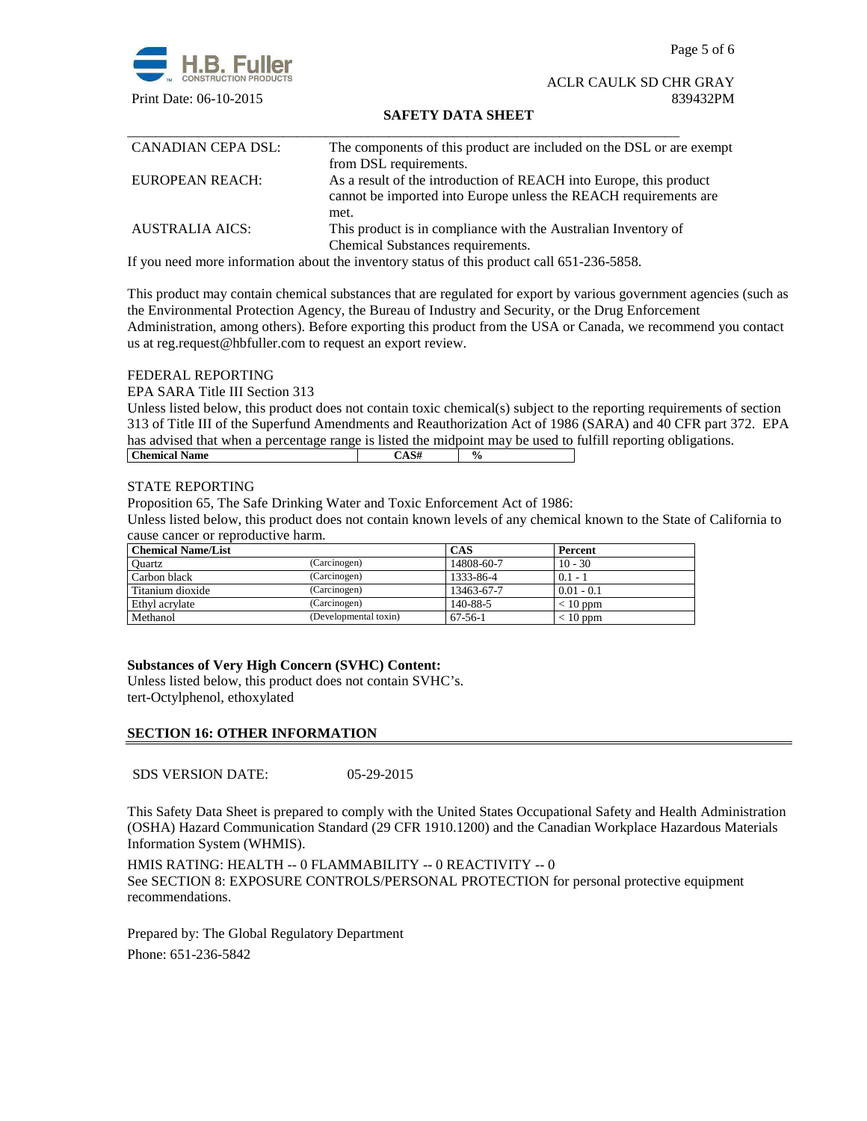Page 5 of 6



ACLR CAULK SD CHR GRAY Print Date: 06-10-2015 839432PM

## **SAFETY DATA SHEET**

| CANADIAN CEPA DSL:     | The components of this product are included on the DSL or are exempt |
|------------------------|----------------------------------------------------------------------|
|                        | from DSL requirements.                                               |
| EUROPEAN REACH:        | As a result of the introduction of REACH into Europe, this product   |
|                        | cannot be imported into Europe unless the REACH requirements are     |
|                        | met.                                                                 |
| <b>AUSTRALIA AICS:</b> | This product is in compliance with the Australian Inventory of       |
|                        | Chemical Substances requirements.                                    |

If you need more information about the inventory status of this product call 651-236-5858.

This product may contain chemical substances that are regulated for export by various government agencies (such as the Environmental Protection Agency, the Bureau of Industry and Security, or the Drug Enforcement Administration, among others). Before exporting this product from the USA or Canada, we recommend you contact us at reg.request@hbfuller.com to request an export review.

# FEDERAL REPORTING

EPA SARA Title III Section 313

Unless listed below, this product does not contain toxic chemical(s) subject to the reporting requirements of section 313 of Title III of the Superfund Amendments and Reauthorization Act of 1986 (SARA) and 40 CFR part 372. EPA has advised that when a percentage range is listed the midpoint may be used to fulfill reporting obligations. **Chemical Name**  $\qquad \qquad$   $\qquad \qquad$   $\qquad \qquad$   $\qquad \qquad$   $\qquad \qquad$   $\qquad \qquad$   $\qquad \qquad$   $\qquad \qquad$   $\qquad \qquad$   $\qquad \qquad$   $\qquad \qquad$   $\qquad \qquad$   $\qquad \qquad$   $\qquad \qquad$   $\qquad \qquad$   $\qquad \qquad$   $\qquad \qquad$   $\qquad \qquad$   $\qquad \qquad$   $\qquad \qquad$   $\qquad \qquad$   $\qquad \qquad$   $\qquad \qquad$ 

## STATE REPORTING

Proposition 65, The Safe Drinking Water and Toxic Enforcement Act of 1986:

Unless listed below, this product does not contain known levels of any chemical known to the State of California to cause cancer or reproductive harm.

| <b>Chemical Name/List</b> |                       | <b>CAS</b> | Percent      |
|---------------------------|-----------------------|------------|--------------|
| Ouartz                    | (Carcinogen)          | 14808-60-7 | $10 - 30$    |
| Carbon black              | (Carcinogen)          | 1333-86-4  | $0.1 -$      |
| Titanium dioxide          | (Carcinogen)          | 13463-67-7 | $0.01 - 0.1$ |
| Ethyl acrylate            | (Carcinogen)          | 140-88-5   | $< 10$ ppm   |
| Methanol                  | (Developmental toxin) | 67-56-1    | $< 10$ ppm   |

## **Substances of Very High Concern (SVHC) Content:**

Unless listed below, this product does not contain SVHC's. tert-Octylphenol, ethoxylated

## **SECTION 16: OTHER INFORMATION**

SDS VERSION DATE: 05-29-2015

This Safety Data Sheet is prepared to comply with the United States Occupational Safety and Health Administration (OSHA) Hazard Communication Standard (29 CFR 1910.1200) and the Canadian Workplace Hazardous Materials Information System (WHMIS).

HMIS RATING: HEALTH -- 0 FLAMMABILITY -- 0 REACTIVITY -- 0 See SECTION 8: EXPOSURE CONTROLS/PERSONAL PROTECTION for personal protective equipment recommendations.

Prepared by: The Global Regulatory Department Phone: 651-236-5842